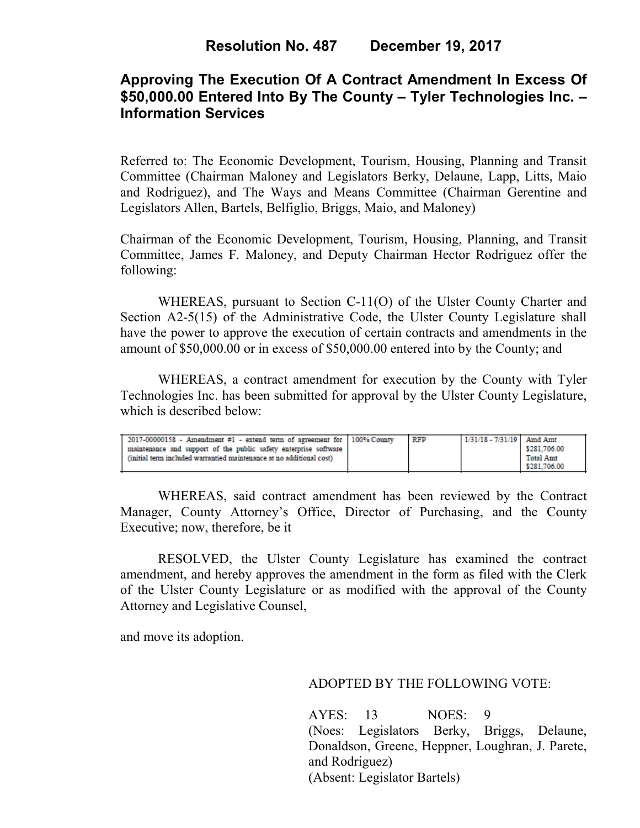# **Approving The Execution Of A Contract Amendment In Excess Of \$50,000.00 Entered Into By The County – Tyler Technologies Inc. – Information Services**

Referred to: The Economic Development, Tourism, Housing, Planning and Transit Committee (Chairman Maloney and Legislators Berky, Delaune, Lapp, Litts, Maio and Rodriguez), and The Ways and Means Committee (Chairman Gerentine and Legislators Allen, Bartels, Belfiglio, Briggs, Maio, and Maloney)

Chairman of the Economic Development, Tourism, Housing, Planning, and Transit Committee, James F. Maloney, and Deputy Chairman Hector Rodriguez offer the following:

WHEREAS, pursuant to Section C-11(O) of the Ulster County Charter and Section A2-5(15) of the Administrative Code, the Ulster County Legislature shall have the power to approve the execution of certain contracts and amendments in the amount of \$50,000.00 or in excess of \$50,000.00 entered into by the County; and

 WHEREAS, a contract amendment for execution by the County with Tyler Technologies Inc. has been submitted for approval by the Ulster County Legislature, which is described below:

| 2017-00000158 - Amendment #1 - extend term of agreement for 100% County                                                                  | RFP | 1/31/18 - 7/31/19   Amd Amt |                                  |
|------------------------------------------------------------------------------------------------------------------------------------------|-----|-----------------------------|----------------------------------|
| maintenance and support of the public safety enterprise software<br>(initial term included warrantied maintenance at no additional cost) |     |                             | \$281.706.00<br><b>Total Amt</b> |
|                                                                                                                                          |     |                             | \$281.706.00                     |

WHEREAS, said contract amendment has been reviewed by the Contract Manager, County Attorney's Office, Director of Purchasing, and the County Executive; now, therefore, be it

RESOLVED, the Ulster County Legislature has examined the contract amendment, and hereby approves the amendment in the form as filed with the Clerk of the Ulster County Legislature or as modified with the approval of the County Attorney and Legislative Counsel,

and move its adoption.

### ADOPTED BY THE FOLLOWING VOTE:

AYES: 13 NOES: 9 (Noes: Legislators Berky, Briggs, Delaune, Donaldson, Greene, Heppner, Loughran, J. Parete, and Rodriguez) (Absent: Legislator Bartels)